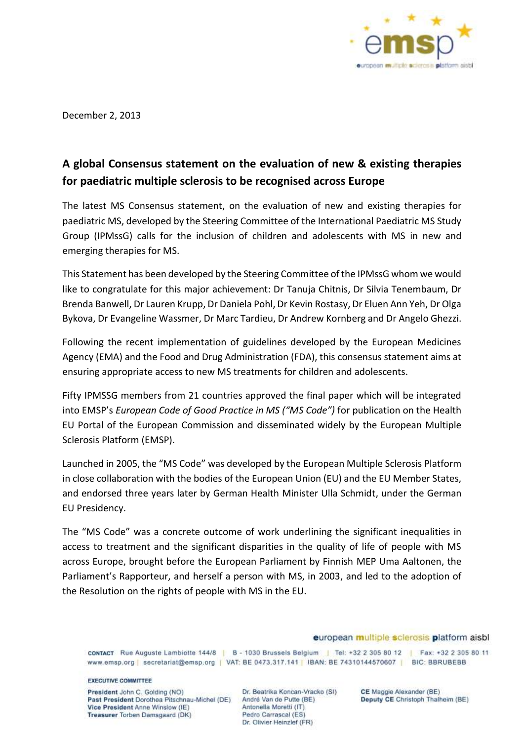

December 2, 2013

## **A global Consensus statement on the evaluation of new & existing therapies for paediatric multiple sclerosis to be recognised across Europe**

The latest MS Consensus statement, on the evaluation of new and existing therapies for paediatric MS, developed by the Steering Committee of the International Paediatric MS Study Group (IPMssG) calls for the inclusion of children and adolescents with MS in new and emerging therapies for MS.

This Statement has been developed by the Steering Committee of the IPMssG whom we would like to congratulate for this major achievement: Dr Tanuja Chitnis, Dr Silvia Tenembaum, Dr Brenda Banwell, Dr Lauren Krupp, Dr Daniela Pohl, Dr Kevin Rostasy, Dr Eluen Ann Yeh, Dr Olga Bykova, Dr Evangeline Wassmer, Dr Marc Tardieu, Dr Andrew Kornberg and Dr Angelo Ghezzi.

Following the recent implementation of guidelines developed by the European Medicines Agency (EMA) and the Food and Drug Administration (FDA), this consensus statement aims at ensuring appropriate access to new MS treatments for children and adolescents.

Fifty IPMSSG members from 21 countries approved the final paper which will be integrated into EMSP's *European Code of Good Practice in MS ("MS Code")* for publication on the Health EU Portal of the European Commission and disseminated widely by the European Multiple Sclerosis Platform (EMSP).

Launched in 2005, the "MS Code" was developed by the European Multiple Sclerosis Platform in close collaboration with the bodies of the European Union (EU) and the EU Member States, and endorsed three years later by German Health Minister Ulla Schmidt, under the German EU Presidency.

The "MS Code" was a concrete outcome of work underlining the significant inequalities in access to treatment and the significant disparities in the quality of life of people with MS across Europe, brought before the European Parliament by Finnish MEP Uma Aaltonen, the Parliament's Rapporteur, and herself a person with MS, in 2003, and led to the adoption of the Resolution on the rights of people with MS in the EU.

european multiple sclerosis platform aisbl

contact Rue Auguste Lambiotte 144/8 | B - 1030 Brussels Belgium | Tel: +32 2 305 80 12 | Fax: +32 2 305 80 11 www.emsp.org | secretariat@emsp.org | VAT: BE 0473.317.141 | IBAN: BE 74310144570607 | BIC: BBRUBEBB

## **EXECUTIVE COMMITTEE**

President John C. Golding (NO) Past President Dorothea Pitschnau-Michel (DE) Vice President Anne Winslow (IE) Treasurer Torben Damsgaard (DK)

Dr. Beatrika Koncan-Vracko (SI) André Van de Putte (BE) Antonella Moretti (IT) Pedro Carrascal (ES) Dr. Olivier Heinzlef (FR)

CE Maggie Alexander (BE) Deputy CE Christoph Thalheim (BE)